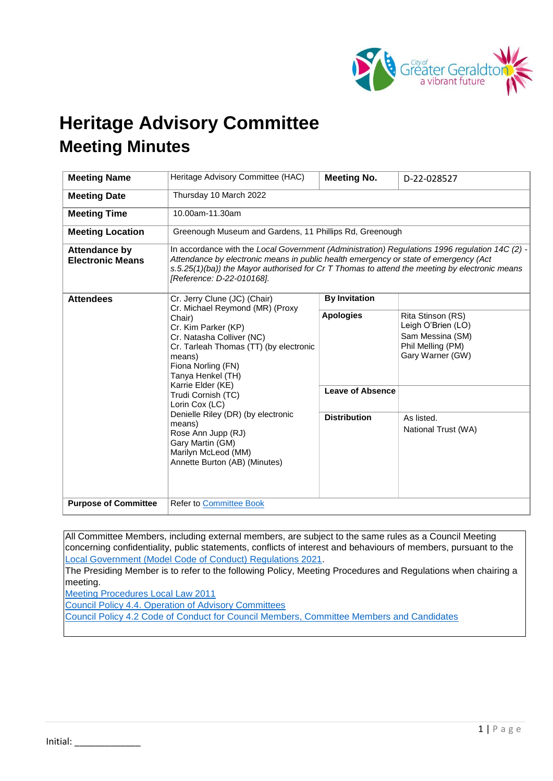

# **Heritage Advisory Committee Meeting Minutes**

| <b>Meeting Name</b>                             | Heritage Advisory Committee (HAC)                                                                                                                                                                                                                                                                                                                                                                                                           | <b>Meeting No.</b>                                                 | D-22-028527                                                                                                                               |
|-------------------------------------------------|---------------------------------------------------------------------------------------------------------------------------------------------------------------------------------------------------------------------------------------------------------------------------------------------------------------------------------------------------------------------------------------------------------------------------------------------|--------------------------------------------------------------------|-------------------------------------------------------------------------------------------------------------------------------------------|
| <b>Meeting Date</b>                             | Thursday 10 March 2022                                                                                                                                                                                                                                                                                                                                                                                                                      |                                                                    |                                                                                                                                           |
| <b>Meeting Time</b>                             | 10.00am-11.30am                                                                                                                                                                                                                                                                                                                                                                                                                             |                                                                    |                                                                                                                                           |
| <b>Meeting Location</b>                         | Greenough Museum and Gardens, 11 Phillips Rd, Greenough                                                                                                                                                                                                                                                                                                                                                                                     |                                                                    |                                                                                                                                           |
| <b>Attendance by</b><br><b>Electronic Means</b> | In accordance with the Local Government (Administration) Regulations 1996 regulation 14C (2) -<br>Attendance by electronic means in public health emergency or state of emergency (Act<br>s.5.25(1)(ba)) the Mayor authorised for Cr T Thomas to attend the meeting by electronic means<br>[Reference: D-22-010168].                                                                                                                        |                                                                    |                                                                                                                                           |
| <b>Attendees</b>                                | Cr. Jerry Clune (JC) (Chair)<br>Cr. Michael Reymond (MR) (Proxy<br>Chair)<br>Cr. Kim Parker (KP)<br>Cr. Natasha Colliver (NC)<br>Cr. Tarleah Thomas (TT) (by electronic<br>means)<br>Fiona Norling (FN)<br>Tanya Henkel (TH)<br>Karrie Elder (KE)<br>Trudi Cornish (TC)<br>Lorin Cox (LC)<br>Denielle Riley (DR) (by electronic<br>means)<br>Rose Ann Jupp (RJ)<br>Gary Martin (GM)<br>Marilyn McLeod (MM)<br>Annette Burton (AB) (Minutes) | <b>By Invitation</b>                                               |                                                                                                                                           |
|                                                 |                                                                                                                                                                                                                                                                                                                                                                                                                                             | <b>Apologies</b><br><b>Leave of Absence</b><br><b>Distribution</b> | Rita Stinson (RS)<br>Leigh O'Brien (LO)<br>Sam Messina (SM)<br>Phil Melling (PM)<br>Gary Warner (GW)<br>As listed.<br>National Trust (WA) |
| <b>Purpose of Committee</b>                     | <b>Refer to Committee Book</b>                                                                                                                                                                                                                                                                                                                                                                                                              |                                                                    |                                                                                                                                           |

All Committee Members, including external members, are subject to the same rules as a Council Meeting concerning confidentiality, public statements, conflicts of interest and behaviours of members, pursuant to the [Local Government \(Model Code of Conduct\) Regulations 2021.](https://www.legislation.wa.gov.au/legislation/statutes.nsf/law_s52479.html)

The Presiding Member is to refer to the following Policy, Meeting Procedures and Regulations when chairing a meeting.

[Meeting Procedures Local Law 2011](https://www.cgg.wa.gov.au/Profiles/cgg/Assets/ClientData/Local_Laws/Meeting_Procedures_Local_Law_2011_-_Consolidated_-_Website.pdf)

[Council Policy 4.4. Operation of Advisory Committees](https://www.cgg.wa.gov.au/Profiles/cgg/Assets/ClientData/Council_Policy/4_4_-_Operation_of_Advisory_Committees_-_Version_3_-_15_November_2021.pdf)

[Council Policy 4.2 Code of Conduct for Council Members, Committee Members and Candidates](https://www.cgg.wa.gov.au/Profiles/cgg/Assets/ClientData/Council_Policy_-_Sustainability_Update/Council_Policy_-_4_2_-_Code_of_Conduct_for_Council_Members__Committee_Members_and_Candidates_-_Version_1_-_23_March_2021.pdf)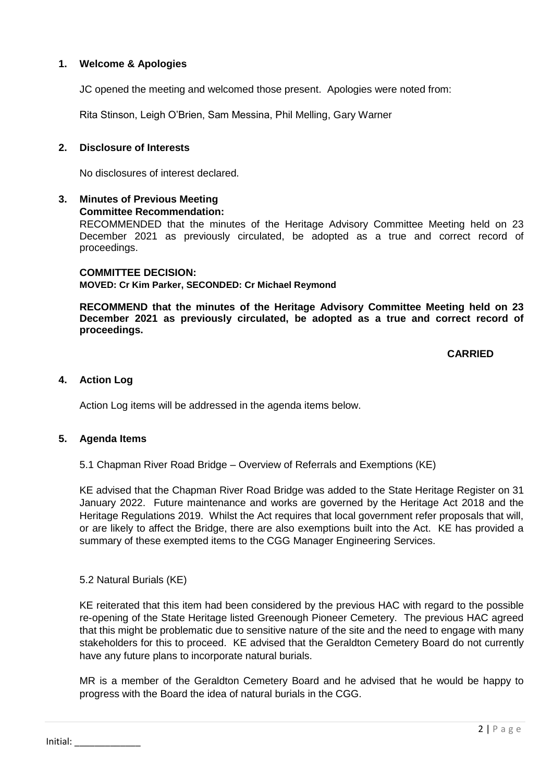# **1. Welcome & Apologies**

JC opened the meeting and welcomed those present. Apologies were noted from:

Rita Stinson, Leigh O'Brien, Sam Messina, Phil Melling, Gary Warner

#### **2. Disclosure of Interests**

No disclosures of interest declared.

#### **3. Minutes of Previous Meeting Committee Recommendation:**

RECOMMENDED that the minutes of the Heritage Advisory Committee Meeting held on 23 December 2021 as previously circulated, be adopted as a true and correct record of proceedings.

**COMMITTEE DECISION: MOVED: Cr Kim Parker, SECONDED: Cr Michael Reymond** 

**RECOMMEND that the minutes of the Heritage Advisory Committee Meeting held on 23 December 2021 as previously circulated, be adopted as a true and correct record of proceedings.**

# **CARRIED**

### **4. Action Log**

Action Log items will be addressed in the agenda items below.

### **5. Agenda Items**

5.1 Chapman River Road Bridge – Overview of Referrals and Exemptions (KE)

KE advised that the Chapman River Road Bridge was added to the State Heritage Register on 31 January 2022. Future maintenance and works are governed by the Heritage Act 2018 and the Heritage Regulations 2019. Whilst the Act requires that local government refer proposals that will, or are likely to affect the Bridge, there are also exemptions built into the Act. KE has provided a summary of these exempted items to the CGG Manager Engineering Services.

5.2 Natural Burials (KE)

KE reiterated that this item had been considered by the previous HAC with regard to the possible re-opening of the State Heritage listed Greenough Pioneer Cemetery. The previous HAC agreed that this might be problematic due to sensitive nature of the site and the need to engage with many stakeholders for this to proceed. KE advised that the Geraldton Cemetery Board do not currently have any future plans to incorporate natural burials.

MR is a member of the Geraldton Cemetery Board and he advised that he would be happy to progress with the Board the idea of natural burials in the CGG.

Initial: \_\_\_\_\_\_\_\_\_\_\_\_\_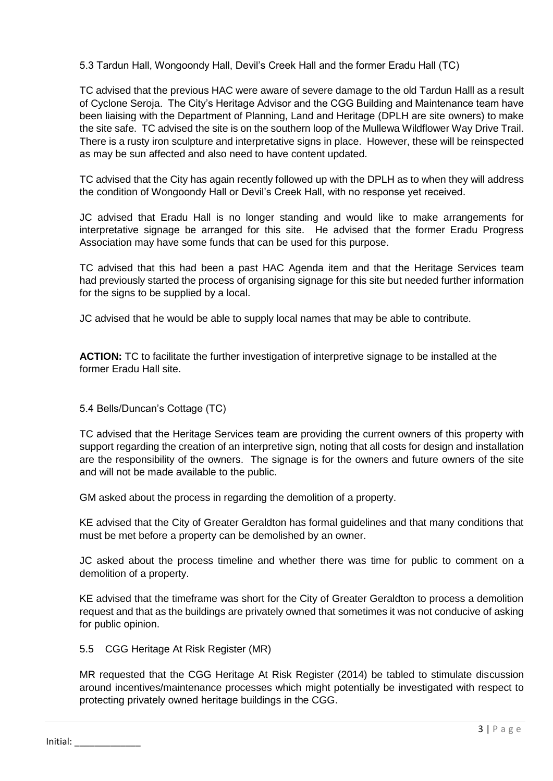5.3 Tardun Hall, Wongoondy Hall, Devil's Creek Hall and the former Eradu Hall (TC)

TC advised that the previous HAC were aware of severe damage to the old Tardun Halll as a result of Cyclone Seroja. The City's Heritage Advisor and the CGG Building and Maintenance team have been liaising with the Department of Planning, Land and Heritage (DPLH are site owners) to make the site safe. TC advised the site is on the southern loop of the Mullewa Wildflower Way Drive Trail. There is a rusty iron sculpture and interpretative signs in place. However, these will be reinspected as may be sun affected and also need to have content updated.

TC advised that the City has again recently followed up with the DPLH as to when they will address the condition of Wongoondy Hall or Devil's Creek Hall, with no response yet received.

JC advised that Eradu Hall is no longer standing and would like to make arrangements for interpretative signage be arranged for this site. He advised that the former Eradu Progress Association may have some funds that can be used for this purpose.

TC advised that this had been a past HAC Agenda item and that the Heritage Services team had previously started the process of organising signage for this site but needed further information for the signs to be supplied by a local.

JC advised that he would be able to supply local names that may be able to contribute.

**ACTION:** TC to facilitate the further investigation of interpretive signage to be installed at the former Eradu Hall site.

### 5.4 Bells/Duncan's Cottage (TC)

TC advised that the Heritage Services team are providing the current owners of this property with support regarding the creation of an interpretive sign, noting that all costs for design and installation are the responsibility of the owners. The signage is for the owners and future owners of the site and will not be made available to the public.

GM asked about the process in regarding the demolition of a property.

KE advised that the City of Greater Geraldton has formal guidelines and that many conditions that must be met before a property can be demolished by an owner.

JC asked about the process timeline and whether there was time for public to comment on a demolition of a property.

KE advised that the timeframe was short for the City of Greater Geraldton to process a demolition request and that as the buildings are privately owned that sometimes it was not conducive of asking for public opinion.

5.5 CGG Heritage At Risk Register (MR)

MR requested that the CGG Heritage At Risk Register (2014) be tabled to stimulate discussion around incentives/maintenance processes which might potentially be investigated with respect to protecting privately owned heritage buildings in the CGG.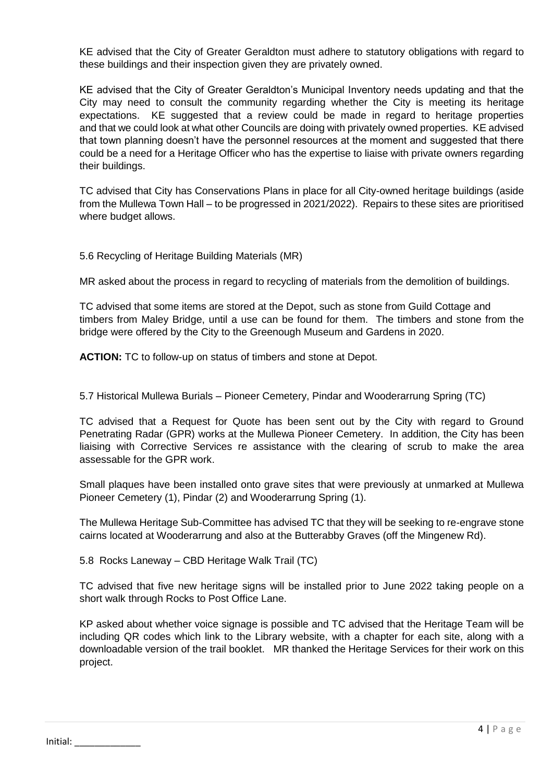KE advised that the City of Greater Geraldton must adhere to statutory obligations with regard to these buildings and their inspection given they are privately owned.

KE advised that the City of Greater Geraldton's Municipal Inventory needs updating and that the City may need to consult the community regarding whether the City is meeting its heritage expectations. KE suggested that a review could be made in regard to heritage properties and that we could look at what other Councils are doing with privately owned properties. KE advised that town planning doesn't have the personnel resources at the moment and suggested that there could be a need for a Heritage Officer who has the expertise to liaise with private owners regarding their buildings.

TC advised that City has Conservations Plans in place for all City-owned heritage buildings (aside from the Mullewa Town Hall – to be progressed in 2021/2022). Repairs to these sites are prioritised where budget allows.

5.6 Recycling of Heritage Building Materials (MR)

MR asked about the process in regard to recycling of materials from the demolition of buildings.

TC advised that some items are stored at the Depot, such as stone from Guild Cottage and timbers from Maley Bridge, until a use can be found for them. The timbers and stone from the bridge were offered by the City to the Greenough Museum and Gardens in 2020.

**ACTION:** TC to follow-up on status of timbers and stone at Depot.

5.7 Historical Mullewa Burials – Pioneer Cemetery, Pindar and Wooderarrung Spring (TC)

TC advised that a Request for Quote has been sent out by the City with regard to Ground Penetrating Radar (GPR) works at the Mullewa Pioneer Cemetery. In addition, the City has been liaising with Corrective Services re assistance with the clearing of scrub to make the area assessable for the GPR work.

Small plaques have been installed onto grave sites that were previously at unmarked at Mullewa Pioneer Cemetery (1), Pindar (2) and Wooderarrung Spring (1).

The Mullewa Heritage Sub-Committee has advised TC that they will be seeking to re-engrave stone cairns located at Wooderarrung and also at the Butterabby Graves (off the Mingenew Rd).

5.8 Rocks Laneway – CBD Heritage Walk Trail (TC)

TC advised that five new heritage signs will be installed prior to June 2022 taking people on a short walk through Rocks to Post Office Lane.

KP asked about whether voice signage is possible and TC advised that the Heritage Team will be including QR codes which link to the Library website, with a chapter for each site, along with a downloadable version of the trail booklet. MR thanked the Heritage Services for their work on this project.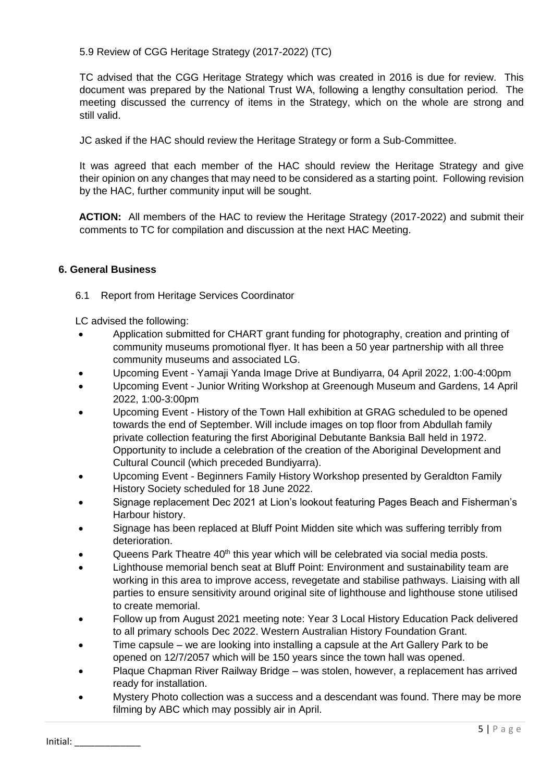5.9 Review of CGG Heritage Strategy (2017-2022) (TC)

TC advised that the CGG Heritage Strategy which was created in 2016 is due for review. This document was prepared by the National Trust WA, following a lengthy consultation period. The meeting discussed the currency of items in the Strategy, which on the whole are strong and still valid.

JC asked if the HAC should review the Heritage Strategy or form a Sub-Committee.

It was agreed that each member of the HAC should review the Heritage Strategy and give their opinion on any changes that may need to be considered as a starting point. Following revision by the HAC, further community input will be sought.

**ACTION:** All members of the HAC to review the Heritage Strategy (2017-2022) and submit their comments to TC for compilation and discussion at the next HAC Meeting.

# **6. General Business**

6.1Report from Heritage Services Coordinator

LC advised the following:

- Application submitted for CHART grant funding for photography, creation and printing of community museums promotional flyer. It has been a 50 year partnership with all three community museums and associated LG.
- Upcoming Event Yamaji Yanda Image Drive at Bundiyarra, 04 April 2022, 1:00-4:00pm
- Upcoming Event Junior Writing Workshop at Greenough Museum and Gardens, 14 April 2022, 1:00-3:00pm
- Upcoming Event History of the Town Hall exhibition at GRAG scheduled to be opened towards the end of September. Will include images on top floor from Abdullah family private collection featuring the first Aboriginal Debutante Banksia Ball held in 1972. Opportunity to include a celebration of the creation of the Aboriginal Development and Cultural Council (which preceded Bundiyarra).
- Upcoming Event Beginners Family History Workshop presented by Geraldton Family History Society scheduled for 18 June 2022.
- Signage replacement Dec 2021 at Lion's lookout featuring Pages Beach and Fisherman's Harbour history.
- Signage has been replaced at Bluff Point Midden site which was suffering terribly from deterioration.
- Queens Park Theatre  $40<sup>th</sup>$  this year which will be celebrated via social media posts.
- Lighthouse memorial bench seat at Bluff Point: Environment and sustainability team are working in this area to improve access, revegetate and stabilise pathways. Liaising with all parties to ensure sensitivity around original site of lighthouse and lighthouse stone utilised to create memorial.
- Follow up from August 2021 meeting note: Year 3 Local History Education Pack delivered to all primary schools Dec 2022. Western Australian History Foundation Grant.
- Time capsule we are looking into installing a capsule at the Art Gallery Park to be opened on 12/7/2057 which will be 150 years since the town hall was opened.
- Plaque Chapman River Railway Bridge was stolen, however, a replacement has arrived ready for installation.
- Mystery Photo collection was a success and a descendant was found. There may be more filming by ABC which may possibly air in April.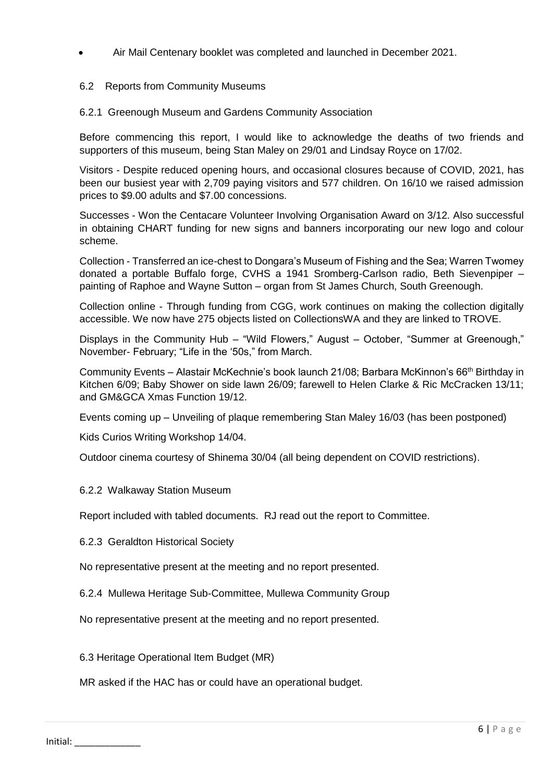Air Mail Centenary booklet was completed and launched in December 2021.

# 6.2Reports from Community Museums

6.2.1 Greenough Museum and Gardens Community Association

Before commencing this report, I would like to acknowledge the deaths of two friends and supporters of this museum, being Stan Maley on 29/01 and Lindsay Royce on 17/02.

Visitors - Despite reduced opening hours, and occasional closures because of COVID, 2021, has been our busiest year with 2,709 paying visitors and 577 children. On 16/10 we raised admission prices to \$9.00 adults and \$7.00 concessions.

Successes - Won the Centacare Volunteer Involving Organisation Award on 3/12. Also successful in obtaining CHART funding for new signs and banners incorporating our new logo and colour scheme.

Collection - Transferred an ice-chest to Dongara's Museum of Fishing and the Sea; Warren Twomey donated a portable Buffalo forge, CVHS a 1941 Sromberg-Carlson radio, Beth Sievenpiper – painting of Raphoe and Wayne Sutton – organ from St James Church, South Greenough.

Collection online - Through funding from CGG, work continues on making the collection digitally accessible. We now have 275 objects listed on CollectionsWA and they are linked to TROVE.

Displays in the Community Hub – "Wild Flowers," August – October, "Summer at Greenough," November- February; "Life in the '50s," from March.

Community Events – Alastair McKechnie's book launch 21/08; Barbara McKinnon's 66<sup>th</sup> Birthday in Kitchen 6/09; Baby Shower on side lawn 26/09; farewell to Helen Clarke & Ric McCracken 13/11; and GM&GCA Xmas Function 19/12.

Events coming up – Unveiling of plaque remembering Stan Maley 16/03 (has been postponed)

Kids Curios Writing Workshop 14/04.

Outdoor cinema courtesy of Shinema 30/04 (all being dependent on COVID restrictions).

#### 6.2.2 Walkaway Station Museum

Report included with tabled documents. RJ read out the report to Committee.

6.2.3 Geraldton Historical Society

No representative present at the meeting and no report presented.

6.2.4 Mullewa Heritage Sub-Committee, Mullewa Community Group

No representative present at the meeting and no report presented.

6.3 Heritage Operational Item Budget (MR)

MR asked if the HAC has or could have an operational budget.